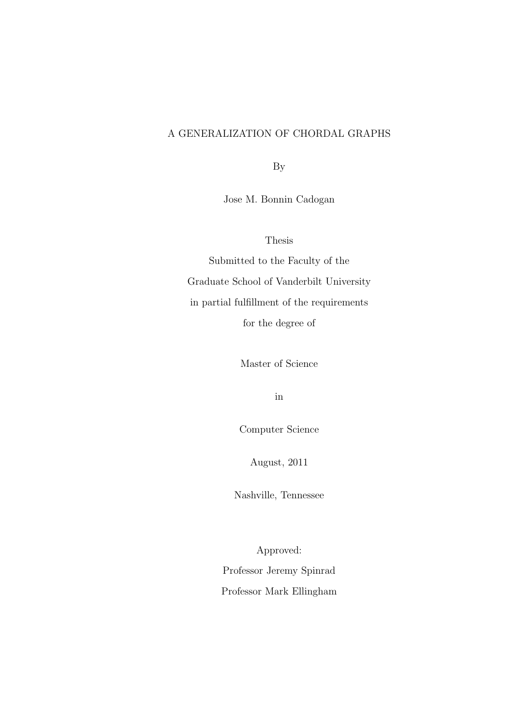# A GENERALIZATION OF CHORDAL GRAPHS

By

Jose M. Bonnin Cadogan

Thesis

Submitted to the Faculty of the Graduate School of Vanderbilt University in partial fulfillment of the requirements for the degree of

Master of Science

in

Computer Science

August, 2011

Nashville, Tennessee

Approved: Professor Jeremy Spinrad Professor Mark Ellingham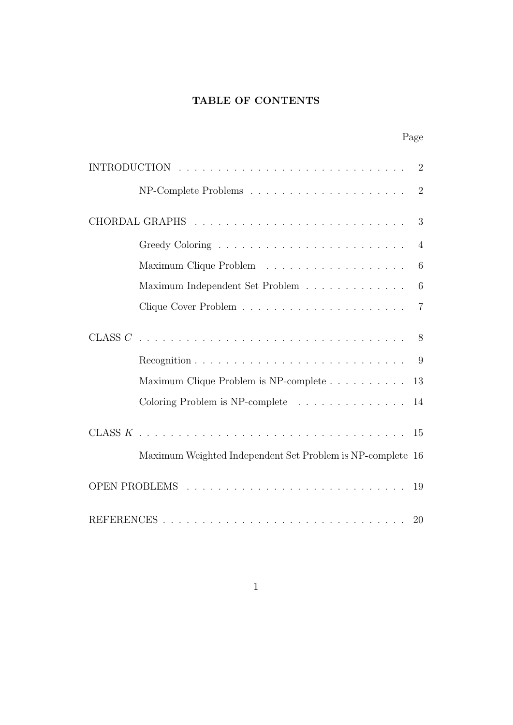# TABLE OF CONTENTS

| $\overline{2}$                                                                     |
|------------------------------------------------------------------------------------|
| $NP-Complete Problems \ldots \ldots \ldots \ldots \ldots \ldots$<br>$\overline{2}$ |
| 3                                                                                  |
| $\overline{4}$                                                                     |
| 6                                                                                  |
| Maximum Independent Set Problem<br>6                                               |
| $\overline{7}$                                                                     |
| 8                                                                                  |
| 9                                                                                  |
| Maximum Clique Problem is NP-complete<br>13                                        |
| Coloring Problem is NP-complete<br>14                                              |
|                                                                                    |
| Maximum Weighted Independent Set Problem is NP-complete 16                         |
| 19                                                                                 |
|                                                                                    |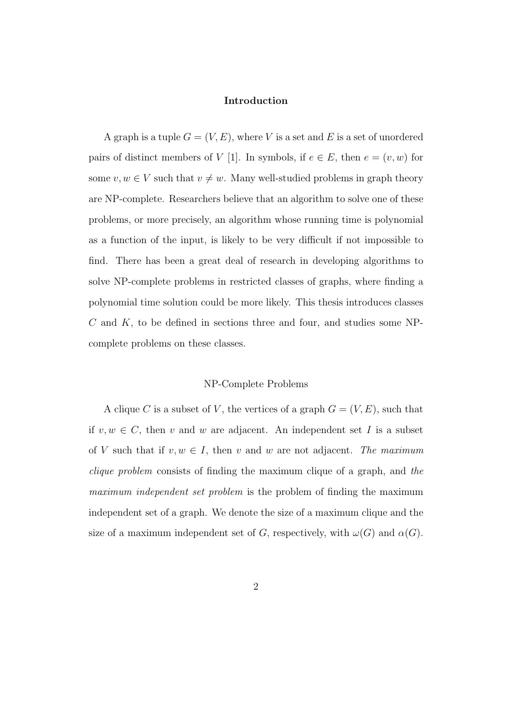## Introduction

A graph is a tuple  $G = (V, E)$ , where V is a set and E is a set of unordered pairs of distinct members of V [1]. In symbols, if  $e \in E$ , then  $e = (v, w)$  for some  $v, w \in V$  such that  $v \neq w$ . Many well-studied problems in graph theory are NP-complete. Researchers believe that an algorithm to solve one of these problems, or more precisely, an algorithm whose running time is polynomial as a function of the input, is likely to be very difficult if not impossible to find. There has been a great deal of research in developing algorithms to solve NP-complete problems in restricted classes of graphs, where finding a polynomial time solution could be more likely. This thesis introduces classes  $C$  and  $K$ , to be defined in sections three and four, and studies some NPcomplete problems on these classes.

#### NP-Complete Problems

A clique C is a subset of V, the vertices of a graph  $G = (V, E)$ , such that if  $v, w \in C$ , then v and w are adjacent. An independent set I is a subset of V such that if  $v, w \in I$ , then v and w are not adjacent. The maximum clique problem consists of finding the maximum clique of a graph, and the maximum independent set problem is the problem of finding the maximum independent set of a graph. We denote the size of a maximum clique and the size of a maximum independent set of G, respectively, with  $\omega(G)$  and  $\alpha(G)$ .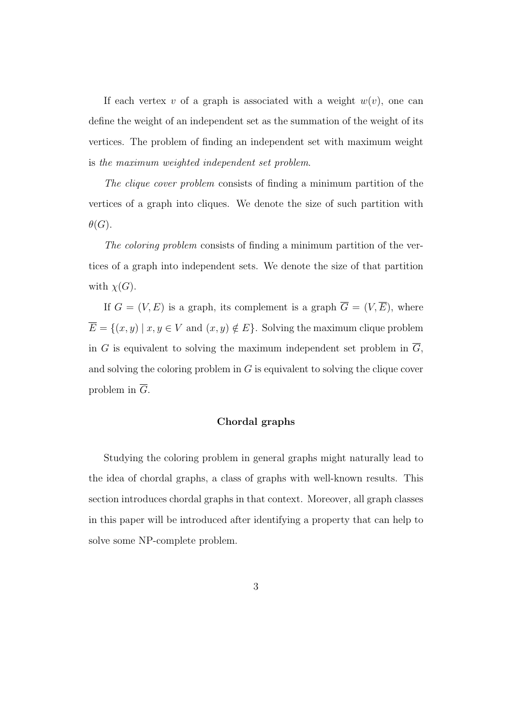If each vertex v of a graph is associated with a weight  $w(v)$ , one can define the weight of an independent set as the summation of the weight of its vertices. The problem of finding an independent set with maximum weight is the maximum weighted independent set problem.

The clique cover problem consists of finding a minimum partition of the vertices of a graph into cliques. We denote the size of such partition with  $\theta(G)$ .

The coloring problem consists of finding a minimum partition of the vertices of a graph into independent sets. We denote the size of that partition with  $\chi(G)$ .

If  $G = (V, E)$  is a graph, its complement is a graph  $\overline{G} = (V, \overline{E})$ , where  $\overline{E} = \{(x, y) \mid x, y \in V \text{ and } (x, y) \notin E\}.$  Solving the maximum clique problem in G is equivalent to solving the maximum independent set problem in  $\overline{G}$ , and solving the coloring problem in G is equivalent to solving the clique cover problem in  $\overline{G}$ .

## Chordal graphs

Studying the coloring problem in general graphs might naturally lead to the idea of chordal graphs, a class of graphs with well-known results. This section introduces chordal graphs in that context. Moreover, all graph classes in this paper will be introduced after identifying a property that can help to solve some NP-complete problem.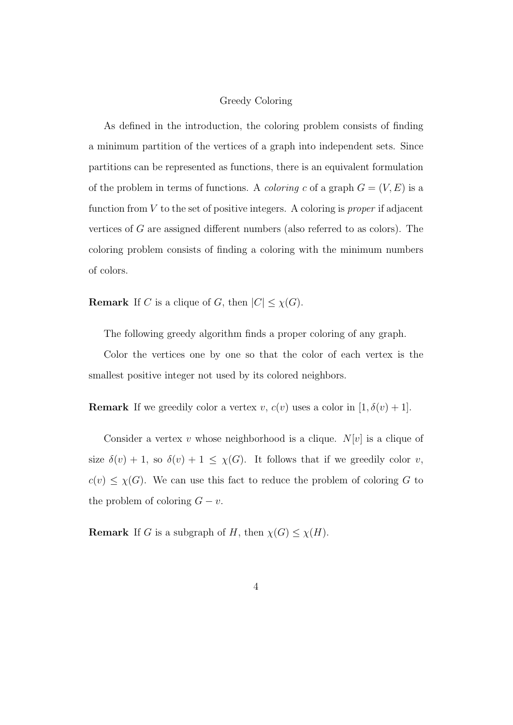## Greedy Coloring

As defined in the introduction, the coloring problem consists of finding a minimum partition of the vertices of a graph into independent sets. Since partitions can be represented as functions, there is an equivalent formulation of the problem in terms of functions. A *coloring* c of a graph  $G = (V, E)$  is a function from  $V$  to the set of positive integers. A coloring is *proper* if adjacent vertices of G are assigned different numbers (also referred to as colors). The coloring problem consists of finding a coloring with the minimum numbers of colors.

**Remark** If C is a clique of G, then  $|C| \leq \chi(G)$ .

The following greedy algorithm finds a proper coloring of any graph.

Color the vertices one by one so that the color of each vertex is the smallest positive integer not used by its colored neighbors.

**Remark** If we greedily color a vertex v,  $c(v)$  uses a color in  $[1, \delta(v) + 1]$ .

Consider a vertex v whose neighborhood is a clique.  $N[v]$  is a clique of size  $\delta(v) + 1$ , so  $\delta(v) + 1 \leq \chi(G)$ . It follows that if we greedily color v,  $c(v) \leq \chi(G)$ . We can use this fact to reduce the problem of coloring G to the problem of coloring  $G - v$ .

**Remark** If G is a subgraph of H, then  $\chi(G) \leq \chi(H)$ .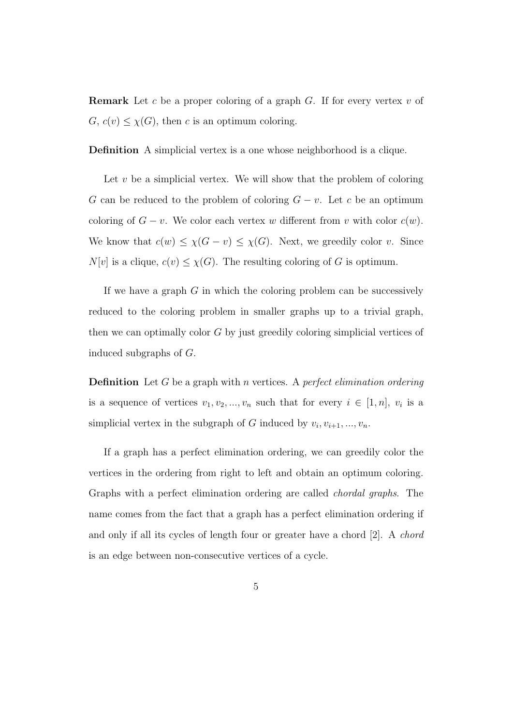**Remark** Let c be a proper coloring of a graph  $G$ . If for every vertex v of  $G, c(v) \leq \chi(G)$ , then c is an optimum coloring.

Definition A simplicial vertex is a one whose neighborhood is a clique.

Let  $v$  be a simplicial vertex. We will show that the problem of coloring G can be reduced to the problem of coloring  $G - v$ . Let c be an optimum coloring of  $G - v$ . We color each vertex w different from v with color  $c(w)$ . We know that  $c(w) \leq \chi(G - v) \leq \chi(G)$ . Next, we greedily color v. Since  $N[v]$  is a clique,  $c(v) \leq \chi(G)$ . The resulting coloring of G is optimum.

If we have a graph  $G$  in which the coloring problem can be successively reduced to the coloring problem in smaller graphs up to a trivial graph, then we can optimally color G by just greedily coloring simplicial vertices of induced subgraphs of G.

**Definition** Let G be a graph with n vertices. A perfect elimination ordering is a sequence of vertices  $v_1, v_2, ..., v_n$  such that for every  $i \in [1, n]$ ,  $v_i$  is a simplicial vertex in the subgraph of G induced by  $v_i, v_{i+1}, ..., v_n$ .

If a graph has a perfect elimination ordering, we can greedily color the vertices in the ordering from right to left and obtain an optimum coloring. Graphs with a perfect elimination ordering are called chordal graphs. The name comes from the fact that a graph has a perfect elimination ordering if and only if all its cycles of length four or greater have a chord [2]. A chord is an edge between non-consecutive vertices of a cycle.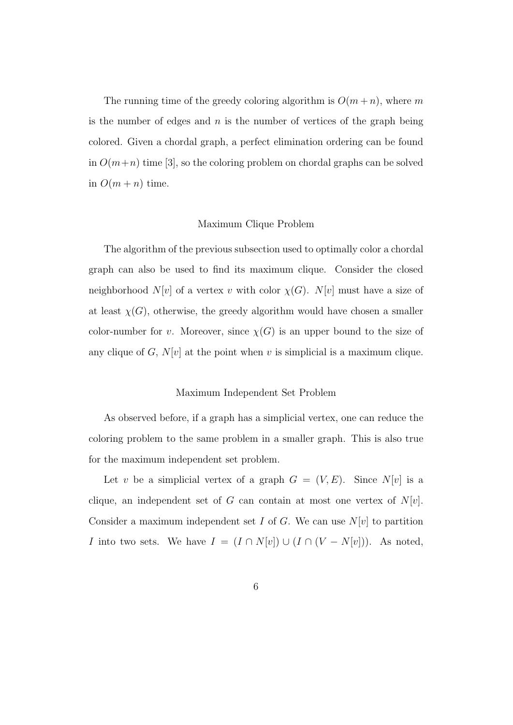The running time of the greedy coloring algorithm is  $O(m+n)$ , where m is the number of edges and  $n$  is the number of vertices of the graph being colored. Given a chordal graph, a perfect elimination ordering can be found in  $O(m+n)$  time [3], so the coloring problem on chordal graphs can be solved in  $O(m + n)$  time.

## Maximum Clique Problem

The algorithm of the previous subsection used to optimally color a chordal graph can also be used to find its maximum clique. Consider the closed neighborhood  $N[v]$  of a vertex v with color  $\chi(G)$ .  $N[v]$  must have a size of at least  $\chi(G)$ , otherwise, the greedy algorithm would have chosen a smaller color-number for v. Moreover, since  $\chi(G)$  is an upper bound to the size of any clique of G,  $N[v]$  at the point when v is simplicial is a maximum clique.

## Maximum Independent Set Problem

As observed before, if a graph has a simplicial vertex, one can reduce the coloring problem to the same problem in a smaller graph. This is also true for the maximum independent set problem.

Let v be a simplicial vertex of a graph  $G = (V, E)$ . Since  $N[v]$  is a clique, an independent set of G can contain at most one vertex of  $N[v]$ . Consider a maximum independent set I of G. We can use  $N[v]$  to partition *I* into two sets. We have  $I = (I \cap N[v]) \cup (I \cap (V - N[v]))$ . As noted,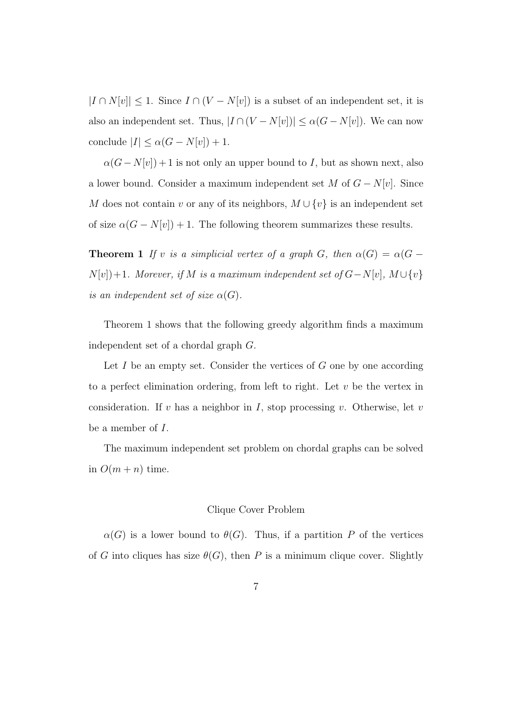$|I \cap N[v]| \leq 1$ . Since  $I \cap (V - N[v])$  is a subset of an independent set, it is also an independent set. Thus,  $|I \cap (V - N[v])| \leq \alpha(G - N[v])$ . We can now conclude  $|I| \leq \alpha(G - N[v]) + 1$ .

 $\alpha(G-N[v])+1$  is not only an upper bound to I, but as shown next, also a lower bound. Consider a maximum independent set M of  $G - N[v]$ . Since M does not contain v or any of its neighbors,  $M \cup \{v\}$  is an independent set of size  $\alpha(G - N[v]) + 1$ . The following theorem summarizes these results.

**Theorem 1** If v is a simplicial vertex of a graph G, then  $\alpha(G) = \alpha(G N[v]+1$ . Morever, if M is a maximum independent set of  $G-N[v]$ ,  $M\cup \{v\}$ is an independent set of size  $\alpha(G)$ .

Theorem 1 shows that the following greedy algorithm finds a maximum independent set of a chordal graph G.

Let  $I$  be an empty set. Consider the vertices of  $G$  one by one according to a perfect elimination ordering, from left to right. Let  $v$  be the vertex in consideration. If v has a neighbor in I, stop processing v. Otherwise, let v be a member of I.

The maximum independent set problem on chordal graphs can be solved in  $O(m + n)$  time.

## Clique Cover Problem

 $\alpha(G)$  is a lower bound to  $\theta(G)$ . Thus, if a partition P of the vertices of G into cliques has size  $\theta(G)$ , then P is a minimum clique cover. Slightly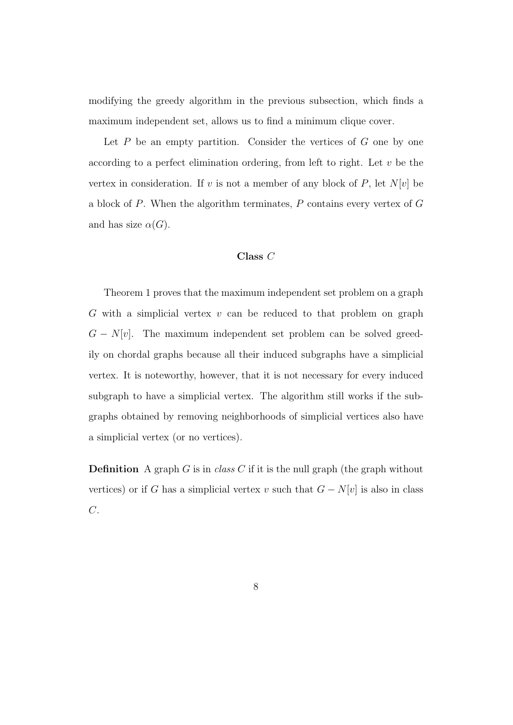modifying the greedy algorithm in the previous subsection, which finds a maximum independent set, allows us to find a minimum clique cover.

Let  $P$  be an empty partition. Consider the vertices of  $G$  one by one according to a perfect elimination ordering, from left to right. Let  $v$  be the vertex in consideration. If v is not a member of any block of  $P$ , let  $N[v]$  be a block of  $P$ . When the algorithm terminates,  $P$  contains every vertex of  $G$ and has size  $\alpha(G)$ .

## Class C

Theorem 1 proves that the maximum independent set problem on a graph G with a simplicial vertex  $v$  can be reduced to that problem on graph  $G - N[v]$ . The maximum independent set problem can be solved greedily on chordal graphs because all their induced subgraphs have a simplicial vertex. It is noteworthy, however, that it is not necessary for every induced subgraph to have a simplicial vertex. The algorithm still works if the subgraphs obtained by removing neighborhoods of simplicial vertices also have a simplicial vertex (or no vertices).

**Definition** A graph G is in class C if it is the null graph (the graph without vertices) or if G has a simplicial vertex v such that  $G - N[v]$  is also in class  $C$ .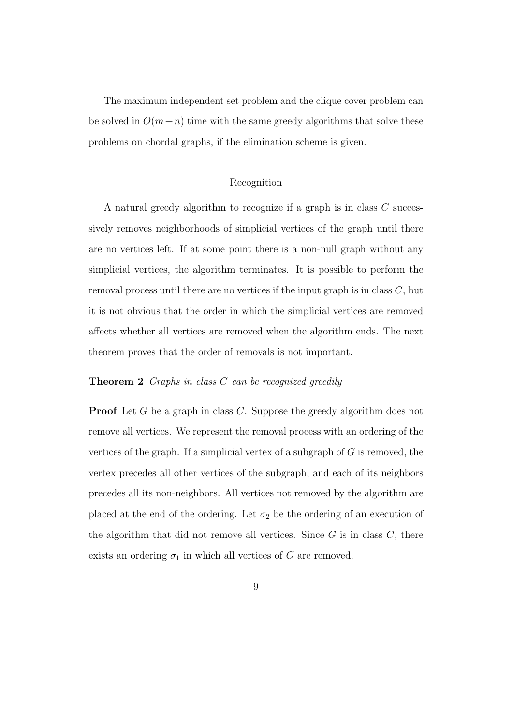The maximum independent set problem and the clique cover problem can be solved in  $O(m+n)$  time with the same greedy algorithms that solve these problems on chordal graphs, if the elimination scheme is given.

## Recognition

A natural greedy algorithm to recognize if a graph is in class C successively removes neighborhoods of simplicial vertices of the graph until there are no vertices left. If at some point there is a non-null graph without any simplicial vertices, the algorithm terminates. It is possible to perform the removal process until there are no vertices if the input graph is in class  $C$ , but it is not obvious that the order in which the simplicial vertices are removed affects whether all vertices are removed when the algorithm ends. The next theorem proves that the order of removals is not important.

## Theorem 2 Graphs in class C can be recognized greedily

**Proof** Let G be a graph in class C. Suppose the greedy algorithm does not remove all vertices. We represent the removal process with an ordering of the vertices of the graph. If a simplicial vertex of a subgraph of  $G$  is removed, the vertex precedes all other vertices of the subgraph, and each of its neighbors precedes all its non-neighbors. All vertices not removed by the algorithm are placed at the end of the ordering. Let  $\sigma_2$  be the ordering of an execution of the algorithm that did not remove all vertices. Since  $G$  is in class  $C$ , there exists an ordering  $\sigma_1$  in which all vertices of G are removed.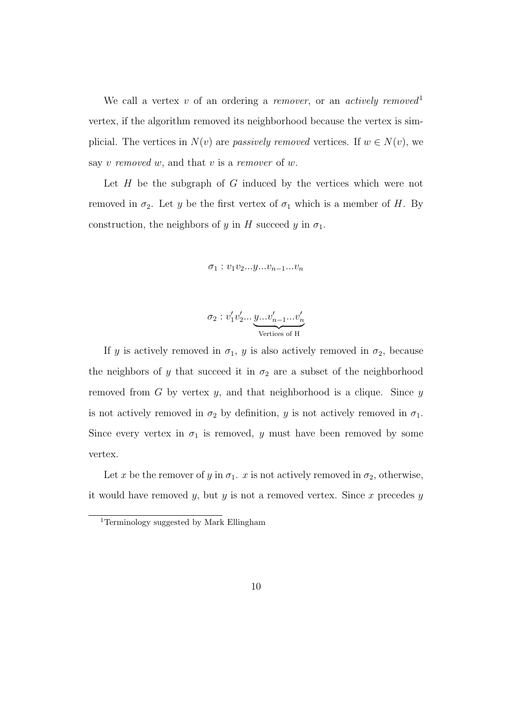We call a vertex v of an ordering a remover, or an actively removed<sup>1</sup> vertex, if the algorithm removed its neighborhood because the vertex is simplicial. The vertices in  $N(v)$  are *passively removed* vertices. If  $w \in N(v)$ , we say  $v$  removed  $w$ , and that  $v$  is a remover of  $w$ .

Let  $H$  be the subgraph of  $G$  induced by the vertices which were not removed in  $\sigma_2$ . Let y be the first vertex of  $\sigma_1$  which is a member of H. By construction, the neighbors of y in H succeed y in  $\sigma_1$ .

$$
\sigma_1: v_1v_2...y...v_{n-1}...v_n
$$

$$
\sigma_2 : v'_1 v'_2 \dots \underbrace{y \dots v'_{n-1} \dots v'_n}_{\text{Vertices of H}}
$$

If y is actively removed in  $\sigma_1$ , y is also actively removed in  $\sigma_2$ , because the neighbors of y that succeed it in  $\sigma_2$  are a subset of the neighborhood removed from  $G$  by vertex  $y$ , and that neighborhood is a clique. Since  $y$ is not actively removed in  $\sigma_2$  by definition, y is not actively removed in  $\sigma_1$ . Since every vertex in  $\sigma_1$  is removed, y must have been removed by some vertex.

Let x be the remover of y in  $\sigma_1$ . x is not actively removed in  $\sigma_2$ , otherwise, it would have removed  $y$ , but  $y$  is not a removed vertex. Since  $x$  precedes  $y$ 

<sup>1</sup>Terminology suggested by Mark Ellingham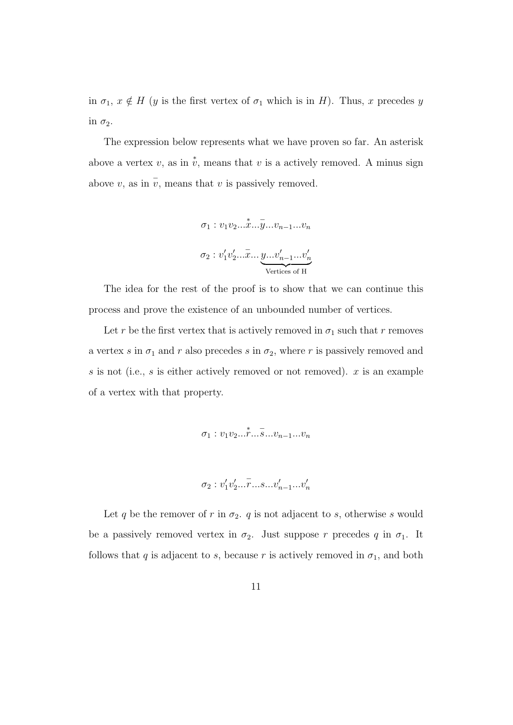in  $\sigma_1, x \notin H$  (y is the first vertex of  $\sigma_1$  which is in H). Thus, x precedes y in  $\sigma_2$ .

The expression below represents what we have proven so far. An asterisk above a vertex v, as in  $\stackrel{*}{v}$ , means that v is a actively removed. A minus sign above v, as in  $\bar{v}$ , means that v is passively removed.

$$
\sigma_1 : v_1 v_2 \dots \overset{*}{x} \dots \overset{...}{y} \dots v_{n-1} \dots v_n
$$

$$
\sigma_2 : v'_1 v'_2 \dots \overset{*}{x} \dots \underset{\text{Vertices of H}}{y} \dots v'_{n-1} \dots v'_n
$$

The idea for the rest of the proof is to show that we can continue this process and prove the existence of an unbounded number of vertices.

Let r be the first vertex that is actively removed in  $\sigma_1$  such that r removes a vertex s in  $\sigma_1$  and r also precedes s in  $\sigma_2$ , where r is passively removed and s is not (i.e., s is either actively removed or not removed).  $x$  is an example of a vertex with that property.

$$
\sigma_1 : v_1 v_2 ... \dot{r} ... \dot{s} ... v_{n-1} ... v_n
$$

$$
\sigma_2 : v'_1 v'_2 ... \overline{r} ... s ... v'_{n-1} ... v'_n
$$

Let q be the remover of r in  $\sigma_2$ . q is not adjacent to s, otherwise s would be a passively removed vertex in  $\sigma_2$ . Just suppose r precedes q in  $\sigma_1$ . It follows that q is adjacent to s, because r is actively removed in  $\sigma_1$ , and both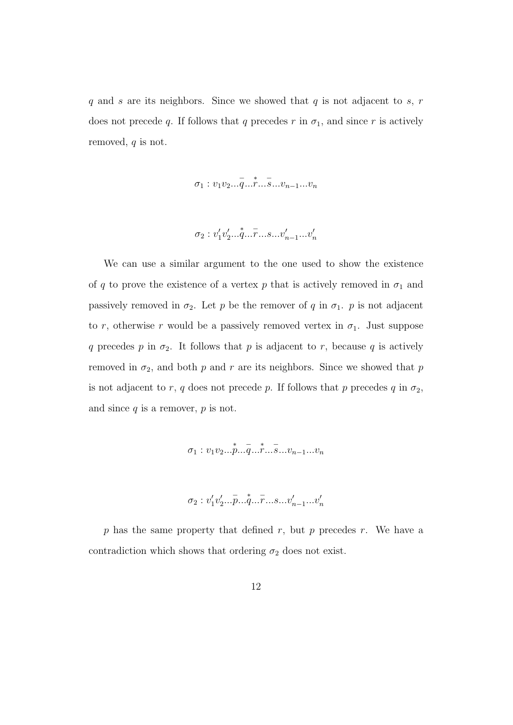$q$  and s are its neighbors. Since we showed that  $q$  is not adjacent to  $s, r$ does not precede q. If follows that q precedes r in  $\sigma_1$ , and since r is actively removed,  $q$  is not.

$$
\sigma_1: v_1v_2\ldots\overline{q}\ldots\overline{r}\ldots\overline{s}\ldots v_{n-1}\ldots v_n
$$

$$
\sigma_2: v'_1v'_2...v'_1...v'_n......v'_{n-1}...v'_n
$$

We can use a similar argument to the one used to show the existence of q to prove the existence of a vertex p that is actively removed in  $\sigma_1$  and passively removed in  $\sigma_2$ . Let p be the remover of q in  $\sigma_1$ . p is not adjacent to r, otherwise r would be a passively removed vertex in  $\sigma_1$ . Just suppose q precedes p in  $\sigma_2$ . It follows that p is adjacent to r, because q is actively removed in  $\sigma_2$ , and both p and r are its neighbors. Since we showed that p is not adjacent to r, q does not precede p. If follows that p precedes  $q$  in  $\sigma_2$ , and since  $q$  is a remover,  $p$  is not.

$$
\sigma_1 : v_1 v_2 ... \overset{*}{p} ... \overset{*}{q} ... \overset{*}{r} ... \overset{*}{s} ... v_{n-1} ... v_n
$$

$$
\sigma_2: v'_1v'_2... \overline{p}...\overline{q}...\overline{r}...s...v'_{n-1}...v'_n
$$

 $p$  has the same property that defined  $r$ , but  $p$  precedes  $r$ . We have a contradiction which shows that ordering  $\sigma_2$  does not exist.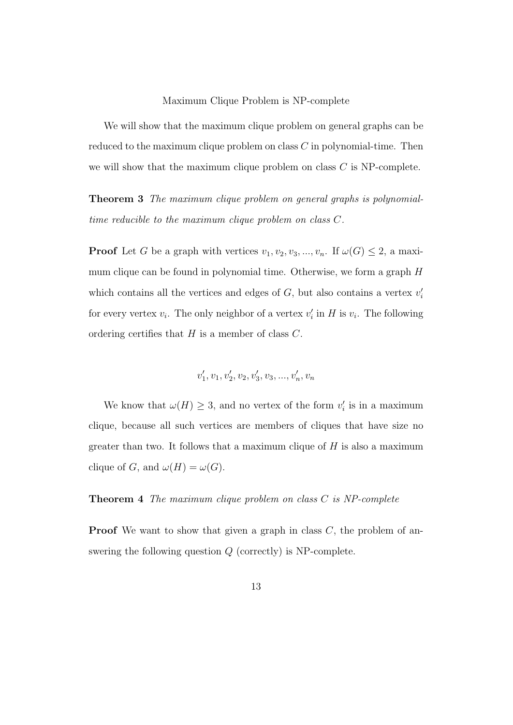#### Maximum Clique Problem is NP-complete

We will show that the maximum clique problem on general graphs can be reduced to the maximum clique problem on class C in polynomial-time. Then we will show that the maximum clique problem on class  $C$  is NP-complete.

Theorem 3 The maximum clique problem on general graphs is polynomialtime reducible to the maximum clique problem on class C.

**Proof** Let G be a graph with vertices  $v_1, v_2, v_3, ..., v_n$ . If  $\omega(G) \leq 2$ , a maximum clique can be found in polynomial time. Otherwise, we form a graph H which contains all the vertices and edges of  $G$ , but also contains a vertex  $v_i'$ for every vertex  $v_i$ . The only neighbor of a vertex  $v'_i$  in H is  $v_i$ . The following ordering certifies that  $H$  is a member of class  $C$ .

$$
v_1', v_1, v_2', v_2, v_3', v_3, ..., v_n', v_n
$$

We know that  $\omega(H) \geq 3$ , and no vertex of the form  $v_i$  is in a maximum clique, because all such vertices are members of cliques that have size no greater than two. It follows that a maximum clique of  $H$  is also a maximum clique of G, and  $\omega(H) = \omega(G)$ .

**Theorem 4** The maximum clique problem on class C is NP-complete

**Proof** We want to show that given a graph in class  $C$ , the problem of answering the following question Q (correctly) is NP-complete.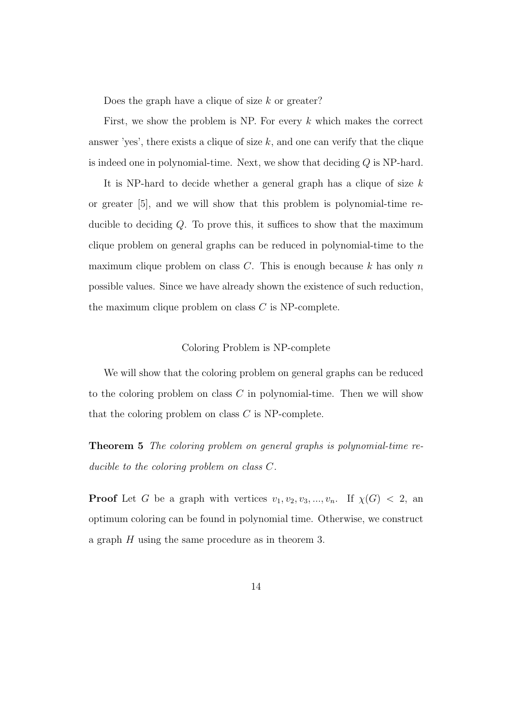Does the graph have a clique of size  $k$  or greater?

First, we show the problem is NP. For every  $k$  which makes the correct answer 'yes', there exists a clique of size  $k$ , and one can verify that the clique is indeed one in polynomial-time. Next, we show that deciding  $Q$  is NP-hard.

It is NP-hard to decide whether a general graph has a clique of size  $k$ or greater [5], and we will show that this problem is polynomial-time reducible to deciding Q. To prove this, it suffices to show that the maximum clique problem on general graphs can be reduced in polynomial-time to the maximum clique problem on class C. This is enough because k has only n possible values. Since we have already shown the existence of such reduction, the maximum clique problem on class  $C$  is NP-complete.

## Coloring Problem is NP-complete

We will show that the coloring problem on general graphs can be reduced to the coloring problem on class C in polynomial-time. Then we will show that the coloring problem on class  $C$  is NP-complete.

Theorem 5 The coloring problem on general graphs is polynomial-time reducible to the coloring problem on class C.

**Proof** Let G be a graph with vertices  $v_1, v_2, v_3, ..., v_n$ . If  $\chi(G) < 2$ , an optimum coloring can be found in polynomial time. Otherwise, we construct a graph H using the same procedure as in theorem 3.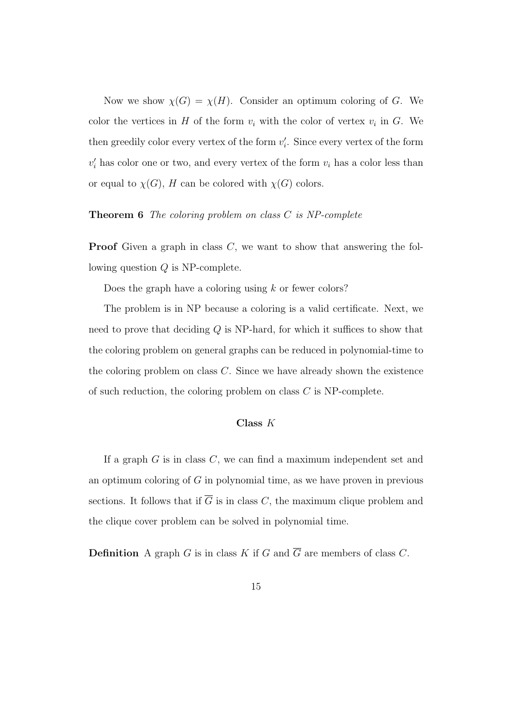Now we show  $\chi(G) = \chi(H)$ . Consider an optimum coloring of G. We color the vertices in H of the form  $v_i$  with the color of vertex  $v_i$  in G. We then greedily color every vertex of the form  $v_i'$ . Since every vertex of the form  $v_i'$  has color one or two, and every vertex of the form  $v_i$  has a color less than or equal to  $\chi(G)$ , H can be colored with  $\chi(G)$  colors.

## Theorem 6 The coloring problem on class C is NP-complete

**Proof** Given a graph in class  $C$ , we want to show that answering the following question Q is NP-complete.

Does the graph have a coloring using  $k$  or fewer colors?

The problem is in NP because a coloring is a valid certificate. Next, we need to prove that deciding  $Q$  is NP-hard, for which it suffices to show that the coloring problem on general graphs can be reduced in polynomial-time to the coloring problem on class  $C$ . Since we have already shown the existence of such reduction, the coloring problem on class  $C$  is NP-complete.

## Class K

If a graph  $G$  is in class  $C$ , we can find a maximum independent set and an optimum coloring of  $G$  in polynomial time, as we have proven in previous sections. It follows that if  $\overline{G}$  is in class C, the maximum clique problem and the clique cover problem can be solved in polynomial time.

**Definition** A graph G is in class K if G and  $\overline{G}$  are members of class C.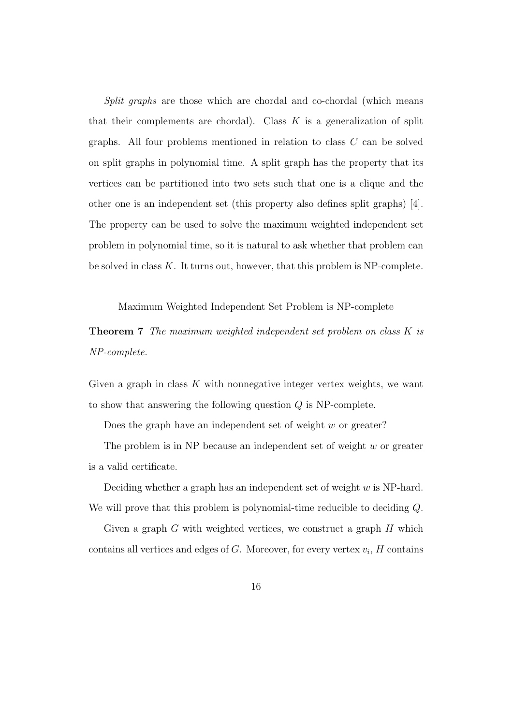Split graphs are those which are chordal and co-chordal (which means that their complements are chordal). Class  $K$  is a generalization of split graphs. All four problems mentioned in relation to class C can be solved on split graphs in polynomial time. A split graph has the property that its vertices can be partitioned into two sets such that one is a clique and the other one is an independent set (this property also defines split graphs) [4]. The property can be used to solve the maximum weighted independent set problem in polynomial time, so it is natural to ask whether that problem can be solved in class  $K$ . It turns out, however, that this problem is NP-complete.

Maximum Weighted Independent Set Problem is NP-complete

**Theorem 7** The maximum weighted independent set problem on class K is NP-complete.

Given a graph in class  $K$  with nonnegative integer vertex weights, we want to show that answering the following question  $Q$  is NP-complete.

Does the graph have an independent set of weight  $w$  or greater?

The problem is in NP because an independent set of weight  $w$  or greater is a valid certificate.

Deciding whether a graph has an independent set of weight w is NP-hard. We will prove that this problem is polynomial-time reducible to deciding  $Q$ .

Given a graph  $G$  with weighted vertices, we construct a graph  $H$  which contains all vertices and edges of  $G$ . Moreover, for every vertex  $v_i$ ,  $H$  contains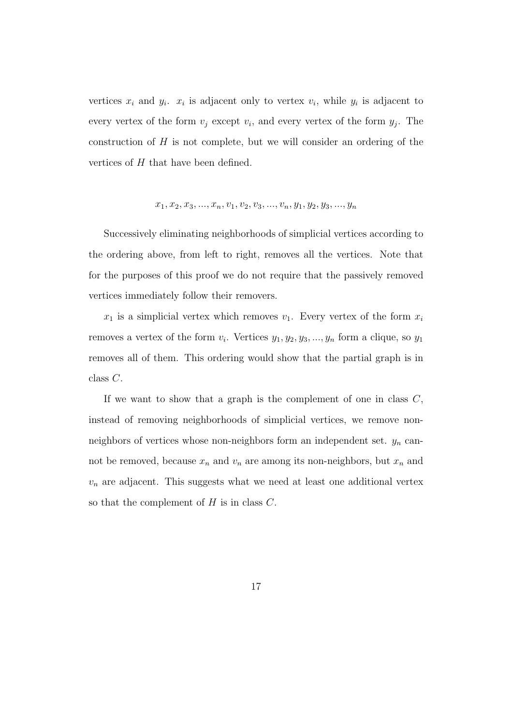vertices  $x_i$  and  $y_i$ .  $x_i$  is adjacent only to vertex  $v_i$ , while  $y_i$  is adjacent to every vertex of the form  $v_j$  except  $v_i$ , and every vertex of the form  $y_j$ . The construction of  $H$  is not complete, but we will consider an ordering of the vertices of H that have been defined.

$$
x_1, x_2, x_3, ..., x_n, v_1, v_2, v_3, ..., v_n, y_1, y_2, y_3, ..., y_n
$$

Successively eliminating neighborhoods of simplicial vertices according to the ordering above, from left to right, removes all the vertices. Note that for the purposes of this proof we do not require that the passively removed vertices immediately follow their removers.

 $x_1$  is a simplicial vertex which removes  $v_1$ . Every vertex of the form  $x_i$ removes a vertex of the form  $v_i$ . Vertices  $y_1, y_2, y_3, ..., y_n$  form a clique, so  $y_1$ removes all of them. This ordering would show that the partial graph is in class C.

If we want to show that a graph is the complement of one in class  $C$ , instead of removing neighborhoods of simplicial vertices, we remove nonneighbors of vertices whose non-neighbors form an independent set.  $y_n$  cannot be removed, because  $x_n$  and  $v_n$  are among its non-neighbors, but  $x_n$  and  $v_n$  are adjacent. This suggests what we need at least one additional vertex so that the complement of  $H$  is in class  $C$ .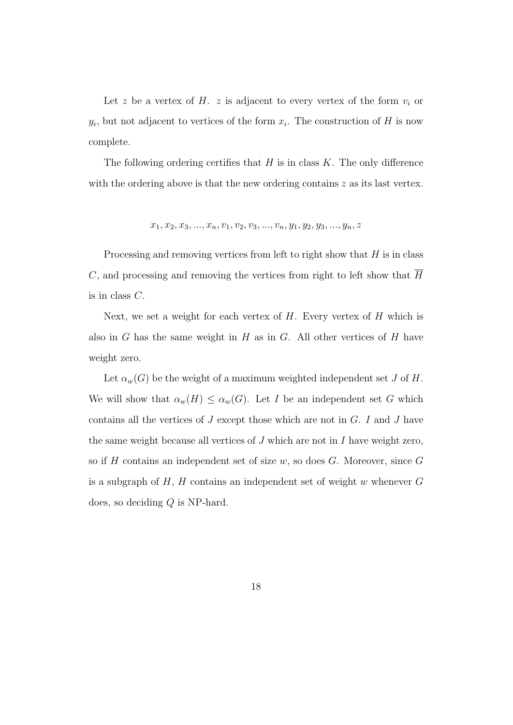Let z be a vertex of H. z is adjacent to every vertex of the form  $v_i$  or  $y_i$ , but not adjacent to vertices of the form  $x_i$ . The construction of H is now complete.

The following ordering certifies that  $H$  is in class  $K$ . The only difference with the ordering above is that the new ordering contains  $z$  as its last vertex.

$$
x_1, x_2, x_3, ..., x_n, v_1, v_2, v_3, ..., v_n, y_1, y_2, y_3, ..., y_n, z
$$

Processing and removing vertices from left to right show that  $H$  is in class C, and processing and removing the vertices from right to left show that  $\overline{H}$ is in class C.

Next, we set a weight for each vertex of  $H$ . Every vertex of  $H$  which is also in  $G$  has the same weight in  $H$  as in  $G$ . All other vertices of  $H$  have weight zero.

Let  $\alpha_w(G)$  be the weight of a maximum weighted independent set J of H. We will show that  $\alpha_w(H) \leq \alpha_w(G)$ . Let I be an independent set G which contains all the vertices of  $J$  except those which are not in  $G$ .  $I$  and  $J$  have the same weight because all vertices of  $J$  which are not in  $I$  have weight zero, so if  $H$  contains an independent set of size  $w$ , so does  $G$ . Moreover, since  $G$ is a subgraph of  $H$ ,  $H$  contains an independent set of weight w whenever  $G$ does, so deciding Q is NP-hard.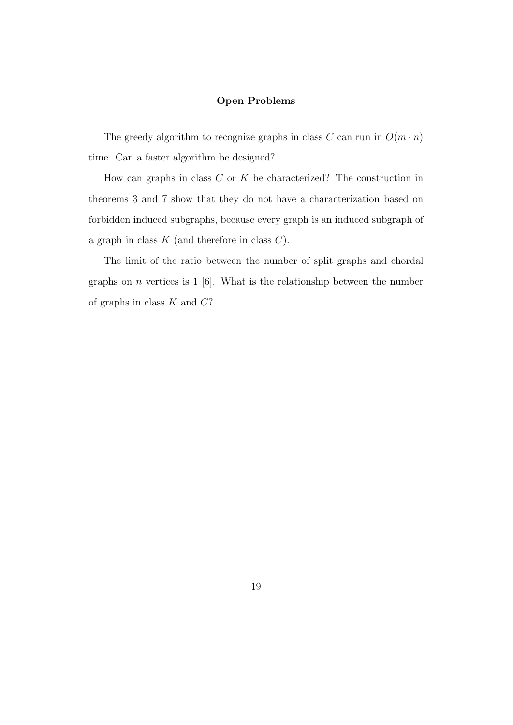## Open Problems

The greedy algorithm to recognize graphs in class C can run in  $O(m \cdot n)$ time. Can a faster algorithm be designed?

How can graphs in class  $C$  or  $K$  be characterized? The construction in theorems 3 and 7 show that they do not have a characterization based on forbidden induced subgraphs, because every graph is an induced subgraph of a graph in class  $K$  (and therefore in class  $C$ ).

The limit of the ratio between the number of split graphs and chordal graphs on  $n$  vertices is 1 [6]. What is the relationship between the number of graphs in class  $K$  and  $C$ ?